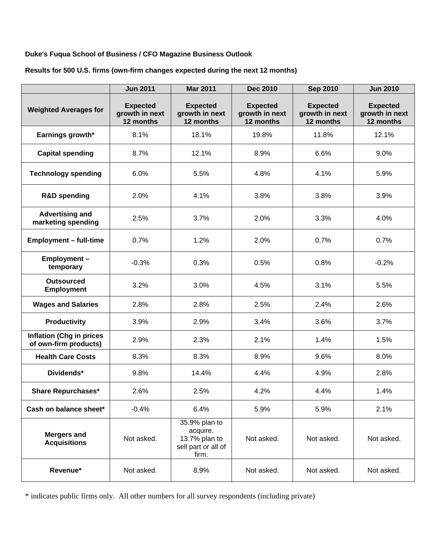## **Duke's Fuqua School of Business / CFO Magazine Business Outlook**

|                                                          | <b>Jun 2011</b>                                | <b>Mar 2011</b>                                                            | <b>Dec 2010</b>                                | <b>Sep 2010</b>                                | <b>Jun 2010</b>                                |
|----------------------------------------------------------|------------------------------------------------|----------------------------------------------------------------------------|------------------------------------------------|------------------------------------------------|------------------------------------------------|
| <b>Weighted Averages for</b>                             | <b>Expected</b><br>growth in next<br>12 months | <b>Expected</b><br>growth in next<br>12 months                             | <b>Expected</b><br>growth in next<br>12 months | <b>Expected</b><br>growth in next<br>12 months | <b>Expected</b><br>growth in next<br>12 months |
| Earnings growth*                                         | 8.1%                                           | 18.1%                                                                      | 19.8%                                          | 11.8%                                          | 12.1%                                          |
| <b>Capital spending</b>                                  | 8.7%                                           | 12.1%                                                                      | 8.9%                                           | 6.6%                                           | 9.0%                                           |
| <b>Technology spending</b>                               | 6.0%                                           | 5.5%                                                                       | 4.8%                                           | 4.1%                                           | 5.9%                                           |
| <b>R&amp;D spending</b>                                  | 2.0%                                           | 4.1%                                                                       | 3.8%                                           | 3.8%                                           | 3.9%                                           |
| <b>Advertising and</b><br>marketing spending             | 2.5%                                           | 3.7%                                                                       | 2.0%                                           | 3.3%                                           | 4.0%                                           |
| <b>Employment - full-time</b>                            | 0.7%                                           | 1.2%                                                                       | 2.0%                                           | 0.7%                                           | 0.7%                                           |
| Employment-<br>temporary                                 | $-0.3%$                                        | 0.3%                                                                       | 0.5%                                           | 0.8%                                           | $-0.2%$                                        |
| <b>Outsourced</b><br><b>Employment</b>                   | 3.2%                                           | 3.0%                                                                       | 4.5%                                           | 3.1%                                           | 5.5%                                           |
| <b>Wages and Salaries</b>                                | 2.8%                                           | 2.8%                                                                       | 2.5%                                           | 2.4%                                           | 2.6%                                           |
| Productivity                                             | 3.9%                                           | 2.9%                                                                       | 3.4%                                           | 3.6%                                           | 3.7%                                           |
| <b>Inflation (Chg in prices</b><br>of own-firm products) | 2.9%                                           | 2.3%                                                                       | 2.1%                                           | 1.4%                                           | 1.5%                                           |
| <b>Health Care Costs</b>                                 | 8.3%                                           | 8.3%                                                                       | 8.9%                                           | 9.6%                                           | 8.0%                                           |
| Dividends*                                               | 9.8%                                           | 14.4%                                                                      | 4.4%                                           | 4.9%                                           | 2.8%                                           |
| <b>Share Repurchases*</b>                                | 2.6%                                           | 2.5%                                                                       | 4.2%                                           | 4.4%                                           | 1.4%                                           |
| Cash on balance sheet*                                   | $-0.4%$                                        | 6.4%                                                                       | 5.9%                                           | 5.9%                                           | 2.1%                                           |
| <b>Mergers and</b><br><b>Acquisitions</b>                | Not asked.                                     | 35.9% plan to<br>acquire.<br>13.7% plan to<br>sell part or all of<br>firm. | Not asked.                                     | Not asked.                                     | Not asked.                                     |
| Revenue*                                                 | Not asked.                                     | 8.9%                                                                       | Not asked.                                     | Not asked.                                     | Not asked.                                     |

**Results for 500 U.S. firms (own-firm changes expected during the next 12 months)** 

\* indicates public firms only. All other numbers for all survey respondents (including private)